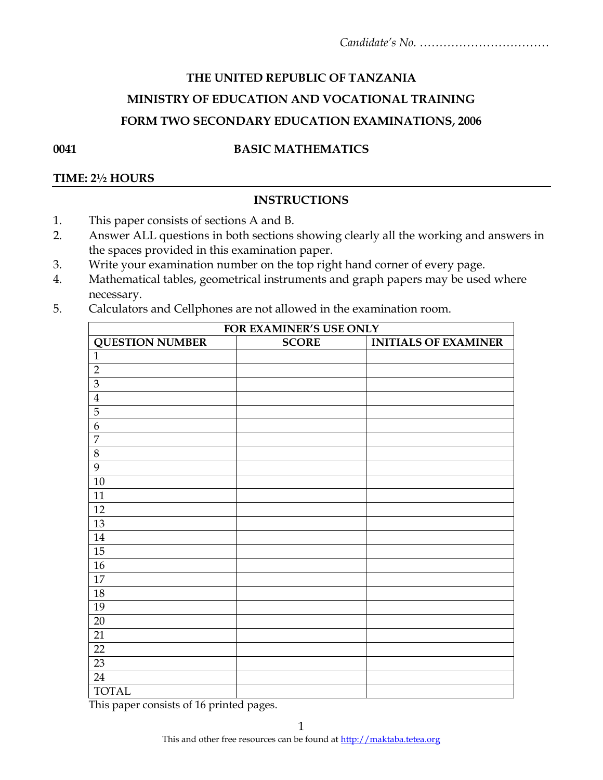# **THE UNITED REPUBLIC OF TANZANIA MINISTRY OF EDUCATION AND VOCATIONAL TRAINING FORM TWO SECONDARY EDUCATION EXAMINATIONS, 2006**

### **0041 BASIC MATHEMATICS**

### **TIME: 2½ HOURS**

## **INSTRUCTIONS**

- 1. This paper consists of sections A and B.
- 2. Answer ALL questions in both sections showing clearly all the working and answers in the spaces provided in this examination paper.
- 3. Write your examination number on the top right hand corner of every page.
- 4. Mathematical tables, geometrical instruments and graph papers may be used where necessary.
- 5. Calculators and Cellphones are not allowed in the examination room.

|                        | FOR EXAMINER'S USE ONLY |                             |
|------------------------|-------------------------|-----------------------------|
| <b>QUESTION NUMBER</b> | <b>SCORE</b>            | <b>INITIALS OF EXAMINER</b> |
| $\mathbf{1}$           |                         |                             |
| $\overline{2}$         |                         |                             |
| 3                      |                         |                             |
| $\overline{4}$         |                         |                             |
| 5                      |                         |                             |
| 6                      |                         |                             |
| $\overline{7}$         |                         |                             |
| $8\,$                  |                         |                             |
| 9                      |                         |                             |
| 10                     |                         |                             |
| 11                     |                         |                             |
| 12                     |                         |                             |
| 13                     |                         |                             |
| 14                     |                         |                             |
| 15                     |                         |                             |
| 16                     |                         |                             |
| 17                     |                         |                             |
| 18                     |                         |                             |
| 19                     |                         |                             |
| 20                     |                         |                             |
| 21                     |                         |                             |
| 22                     |                         |                             |
| 23                     |                         |                             |
| 24                     |                         |                             |
| <b>TOTAL</b>           |                         |                             |

This paper consists of 16 printed pages.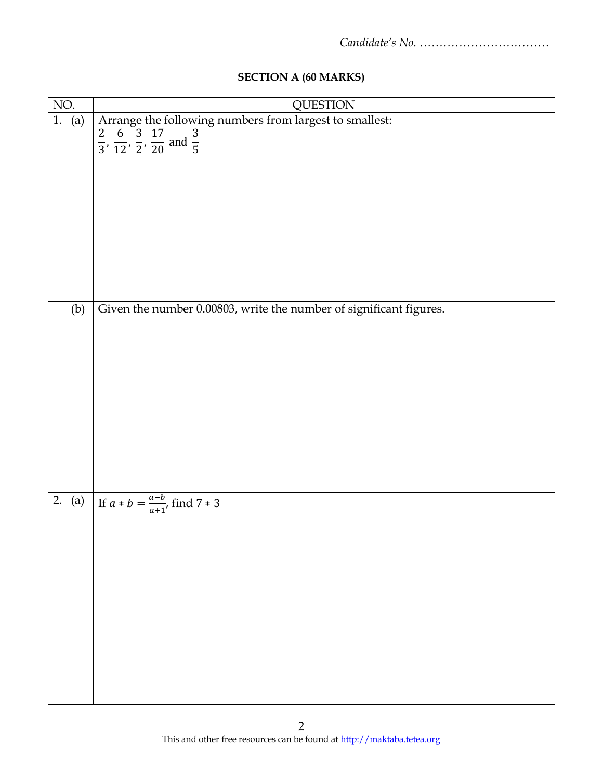| <b>SECTION A (60 MARKS)</b> |  |
|-----------------------------|--|
|-----------------------------|--|

| NO. | <b>QUESTION</b>                                                                                                                             |
|-----|---------------------------------------------------------------------------------------------------------------------------------------------|
|     | 1. (a) Arrange the following numbers from largest to smallest:<br>$\frac{2}{3}, \frac{6}{12}, \frac{3}{2}, \frac{17}{20}$ and $\frac{3}{5}$ |
|     |                                                                                                                                             |
|     |                                                                                                                                             |
|     |                                                                                                                                             |
|     |                                                                                                                                             |
|     |                                                                                                                                             |
|     |                                                                                                                                             |
|     |                                                                                                                                             |
|     |                                                                                                                                             |
|     |                                                                                                                                             |
|     |                                                                                                                                             |
|     |                                                                                                                                             |
|     | Given the number 0.00803, write the number of significant figures.                                                                          |
| (b) |                                                                                                                                             |
|     |                                                                                                                                             |
|     |                                                                                                                                             |
|     |                                                                                                                                             |
|     |                                                                                                                                             |
|     |                                                                                                                                             |
|     |                                                                                                                                             |
|     |                                                                                                                                             |
|     |                                                                                                                                             |
|     |                                                                                                                                             |
|     |                                                                                                                                             |
|     |                                                                                                                                             |
|     | 2. (a) If $a * b = \frac{a-b}{a+1}$ , find $7 * 3$                                                                                          |
|     |                                                                                                                                             |
|     |                                                                                                                                             |
|     |                                                                                                                                             |
|     |                                                                                                                                             |
|     |                                                                                                                                             |
|     |                                                                                                                                             |
|     |                                                                                                                                             |
|     |                                                                                                                                             |
|     |                                                                                                                                             |
|     |                                                                                                                                             |
|     |                                                                                                                                             |
|     |                                                                                                                                             |
|     |                                                                                                                                             |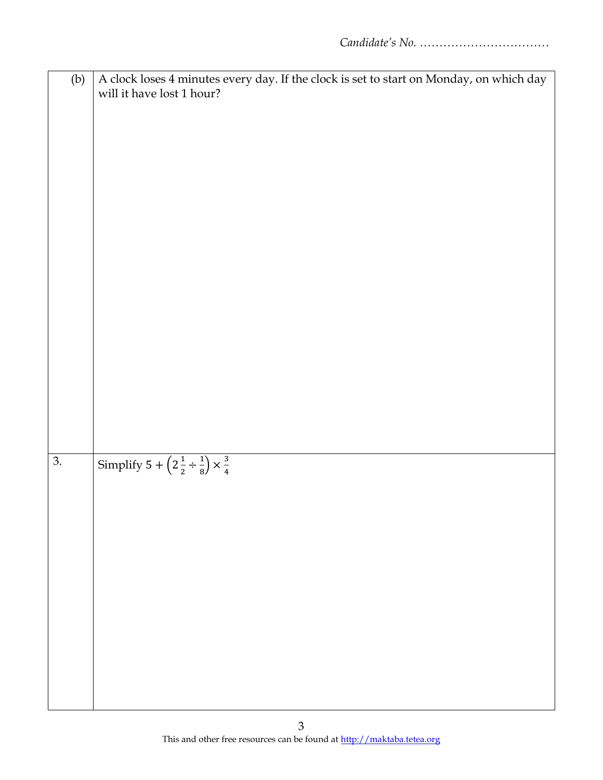|                  | A clock loses 4 minutes every day. If the clock is set to start on Monday, on which day |
|------------------|-----------------------------------------------------------------------------------------|
| (b)              |                                                                                         |
|                  | will it have lost 1 hour?                                                               |
|                  |                                                                                         |
|                  |                                                                                         |
|                  |                                                                                         |
|                  |                                                                                         |
|                  |                                                                                         |
|                  |                                                                                         |
|                  |                                                                                         |
|                  |                                                                                         |
|                  |                                                                                         |
|                  |                                                                                         |
|                  |                                                                                         |
|                  |                                                                                         |
|                  |                                                                                         |
|                  |                                                                                         |
|                  |                                                                                         |
|                  |                                                                                         |
|                  |                                                                                         |
|                  |                                                                                         |
|                  |                                                                                         |
|                  |                                                                                         |
|                  |                                                                                         |
|                  |                                                                                         |
|                  |                                                                                         |
|                  |                                                                                         |
|                  |                                                                                         |
|                  |                                                                                         |
|                  |                                                                                         |
|                  |                                                                                         |
| $\overline{3}$ . | Simplify $5 + \left(2\frac{1}{2} \div \frac{1}{8}\right) \times \frac{3}{4}$            |
|                  |                                                                                         |
|                  |                                                                                         |
|                  |                                                                                         |
|                  |                                                                                         |
|                  |                                                                                         |
|                  |                                                                                         |
|                  |                                                                                         |
|                  |                                                                                         |
|                  |                                                                                         |
|                  |                                                                                         |
|                  |                                                                                         |
|                  |                                                                                         |
|                  |                                                                                         |
|                  |                                                                                         |
|                  |                                                                                         |
|                  |                                                                                         |
|                  |                                                                                         |
|                  |                                                                                         |
|                  |                                                                                         |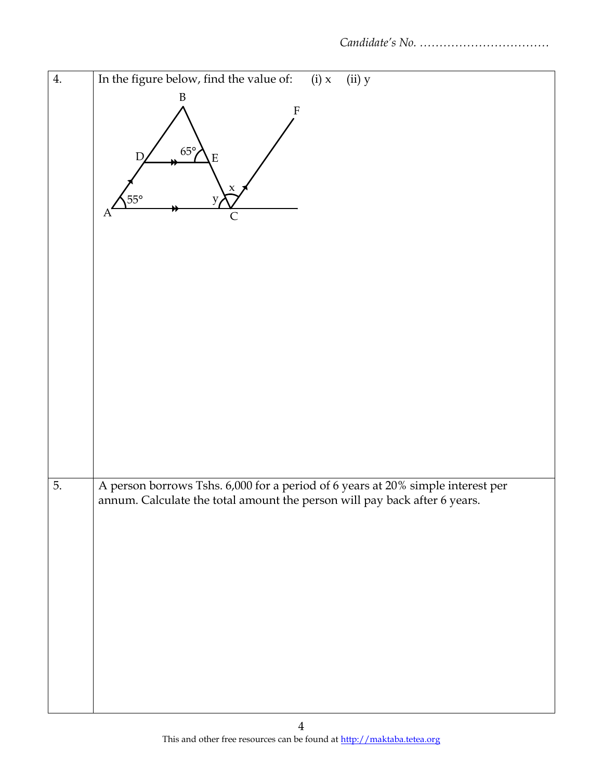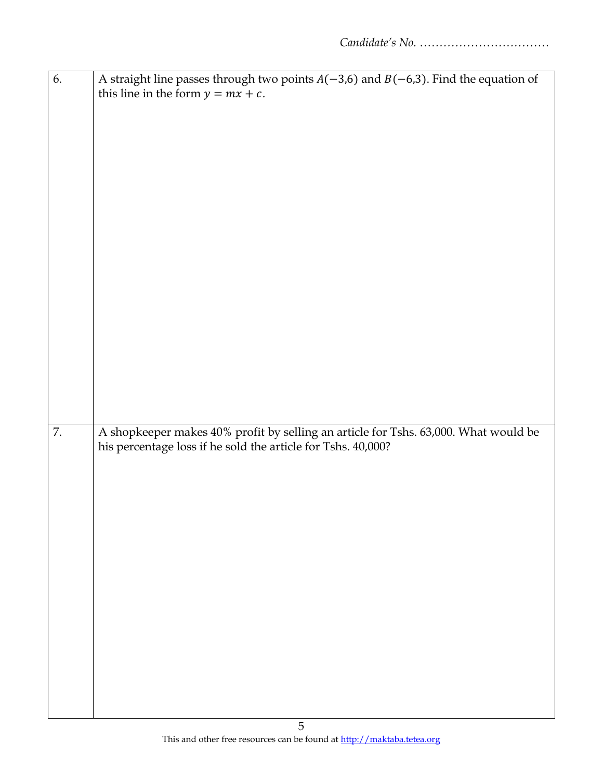| 6. | A straight line passes through two points $A(-3,6)$ and $B(-6,3)$ . Find the equation of |
|----|------------------------------------------------------------------------------------------|
|    | this line in the form $y = mx + c$ .                                                     |
|    |                                                                                          |
|    |                                                                                          |
|    |                                                                                          |
|    |                                                                                          |
|    |                                                                                          |
|    |                                                                                          |
|    |                                                                                          |
|    |                                                                                          |
|    |                                                                                          |
|    |                                                                                          |
|    |                                                                                          |
|    |                                                                                          |
|    |                                                                                          |
|    |                                                                                          |
|    |                                                                                          |
|    |                                                                                          |
|    |                                                                                          |
|    |                                                                                          |
|    |                                                                                          |
|    |                                                                                          |
|    |                                                                                          |
|    |                                                                                          |
|    |                                                                                          |
|    |                                                                                          |
| 7. | A shopkeeper makes 40% profit by selling an article for Tshs. 63,000. What would be      |
|    | his percentage loss if he sold the article for Tshs. 40,000?                             |
|    |                                                                                          |
|    |                                                                                          |
|    |                                                                                          |
|    |                                                                                          |
|    |                                                                                          |
|    |                                                                                          |
|    |                                                                                          |
|    |                                                                                          |
|    |                                                                                          |
|    |                                                                                          |
|    |                                                                                          |
|    |                                                                                          |
|    |                                                                                          |
|    |                                                                                          |
|    |                                                                                          |
|    |                                                                                          |
|    |                                                                                          |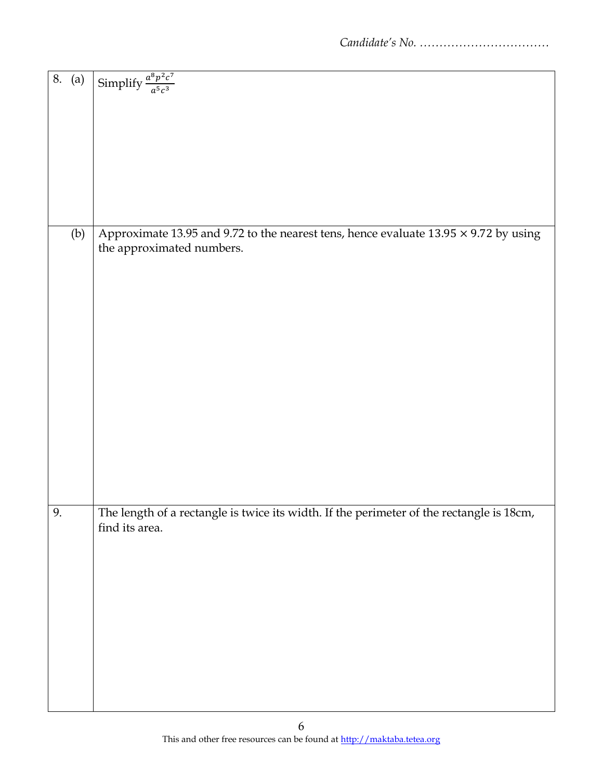| 8. (a) | Simplify $\frac{a^8p^2c^7}{a^5c^3}$                                                         |
|--------|---------------------------------------------------------------------------------------------|
|        |                                                                                             |
|        |                                                                                             |
|        |                                                                                             |
|        |                                                                                             |
|        |                                                                                             |
|        |                                                                                             |
|        |                                                                                             |
|        |                                                                                             |
|        |                                                                                             |
|        |                                                                                             |
|        |                                                                                             |
|        |                                                                                             |
|        |                                                                                             |
|        |                                                                                             |
|        |                                                                                             |
| (b)    | Approximate 13.95 and 9.72 to the nearest tens, hence evaluate $13.95 \times 9.72$ by using |
|        |                                                                                             |
|        | the approximated numbers.                                                                   |
|        |                                                                                             |
|        |                                                                                             |
|        |                                                                                             |
|        |                                                                                             |
|        |                                                                                             |
|        |                                                                                             |
|        |                                                                                             |
|        |                                                                                             |
|        |                                                                                             |
|        |                                                                                             |
|        |                                                                                             |
|        |                                                                                             |
|        |                                                                                             |
|        |                                                                                             |
|        |                                                                                             |
|        |                                                                                             |
|        |                                                                                             |
|        |                                                                                             |
|        |                                                                                             |
|        |                                                                                             |
|        |                                                                                             |
|        |                                                                                             |
|        |                                                                                             |
|        |                                                                                             |
|        |                                                                                             |
|        |                                                                                             |
| 9.     | The length of a rectangle is twice its width. If the perimeter of the rectangle is 18cm,    |
|        |                                                                                             |
|        | find its area.                                                                              |
|        |                                                                                             |
|        |                                                                                             |
|        |                                                                                             |
|        |                                                                                             |
|        |                                                                                             |
|        |                                                                                             |
|        |                                                                                             |
|        |                                                                                             |
|        |                                                                                             |
|        |                                                                                             |
|        |                                                                                             |
|        |                                                                                             |
|        |                                                                                             |
|        |                                                                                             |
|        |                                                                                             |
|        |                                                                                             |
|        |                                                                                             |
|        |                                                                                             |
|        |                                                                                             |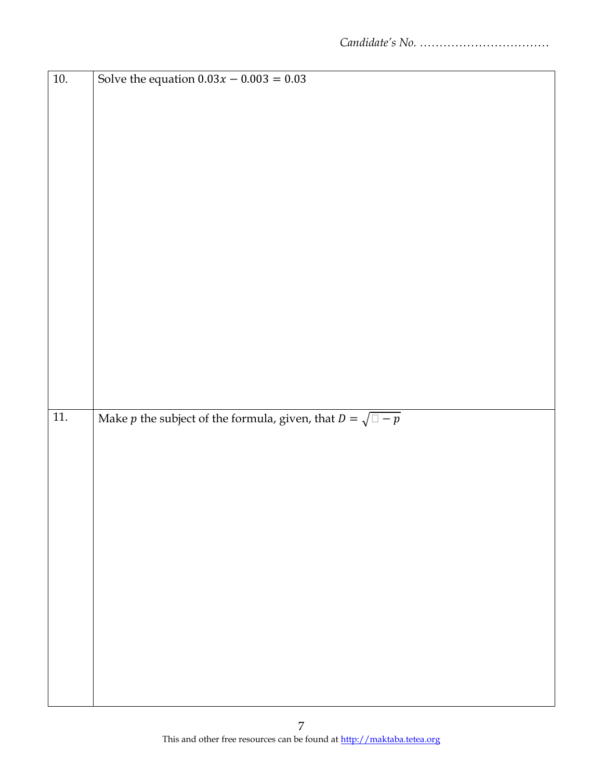| $10.$             | Solve the equation $0.03x - 0.003 = 0.03$                                   |
|-------------------|-----------------------------------------------------------------------------|
|                   |                                                                             |
|                   |                                                                             |
|                   |                                                                             |
|                   |                                                                             |
|                   |                                                                             |
|                   |                                                                             |
|                   |                                                                             |
|                   |                                                                             |
|                   |                                                                             |
|                   |                                                                             |
|                   |                                                                             |
|                   |                                                                             |
|                   |                                                                             |
|                   |                                                                             |
|                   |                                                                             |
|                   |                                                                             |
|                   |                                                                             |
|                   |                                                                             |
|                   |                                                                             |
|                   |                                                                             |
|                   |                                                                             |
|                   |                                                                             |
|                   |                                                                             |
|                   |                                                                             |
| $\overline{11}$ . | Make <i>p</i> the subject of the formula, given, that $D = \sqrt{\Box - p}$ |
|                   |                                                                             |
|                   |                                                                             |
|                   |                                                                             |
|                   |                                                                             |
|                   |                                                                             |
|                   |                                                                             |
|                   |                                                                             |
|                   |                                                                             |
|                   |                                                                             |
|                   |                                                                             |
|                   |                                                                             |
|                   |                                                                             |
|                   |                                                                             |
|                   |                                                                             |
|                   |                                                                             |
|                   |                                                                             |
|                   |                                                                             |
|                   |                                                                             |
|                   |                                                                             |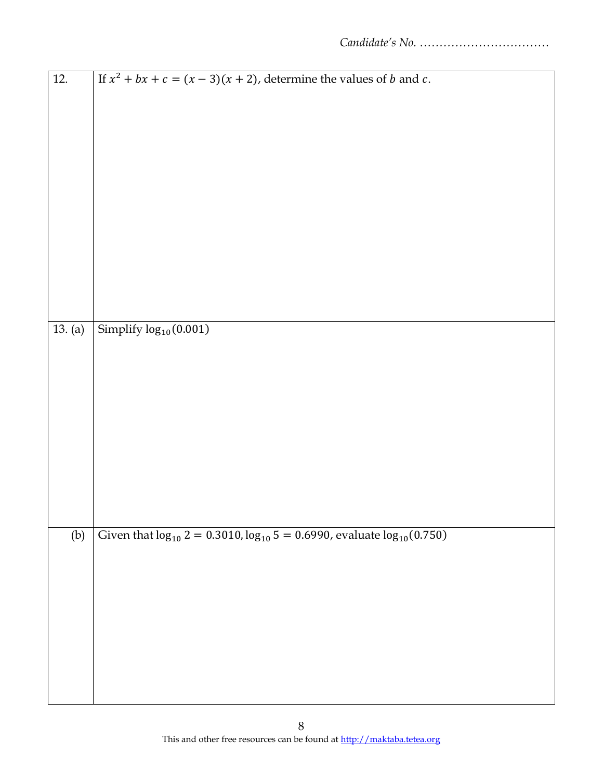| $\overline{12}$ . | If $x^2 + bx + c = (x - 3)(x + 2)$ , determine the values of b and c.                 |
|-------------------|---------------------------------------------------------------------------------------|
|                   |                                                                                       |
|                   |                                                                                       |
|                   |                                                                                       |
|                   |                                                                                       |
|                   |                                                                                       |
|                   |                                                                                       |
|                   |                                                                                       |
|                   |                                                                                       |
|                   |                                                                                       |
|                   |                                                                                       |
|                   |                                                                                       |
|                   |                                                                                       |
|                   |                                                                                       |
|                   |                                                                                       |
|                   |                                                                                       |
| 13. (a)           | Simplify log <sub>10</sub> (0.001)                                                    |
|                   |                                                                                       |
|                   |                                                                                       |
|                   |                                                                                       |
|                   |                                                                                       |
|                   |                                                                                       |
|                   |                                                                                       |
|                   |                                                                                       |
|                   |                                                                                       |
|                   |                                                                                       |
|                   |                                                                                       |
|                   |                                                                                       |
|                   |                                                                                       |
| (b)               | Given that $log_{10} 2 = 0.3010$ , $log_{10} 5 = 0.6990$ , evaluate $log_{10}(0.750)$ |
|                   |                                                                                       |
|                   |                                                                                       |
|                   |                                                                                       |
|                   |                                                                                       |
|                   |                                                                                       |
|                   |                                                                                       |
|                   |                                                                                       |
|                   |                                                                                       |
|                   |                                                                                       |
|                   |                                                                                       |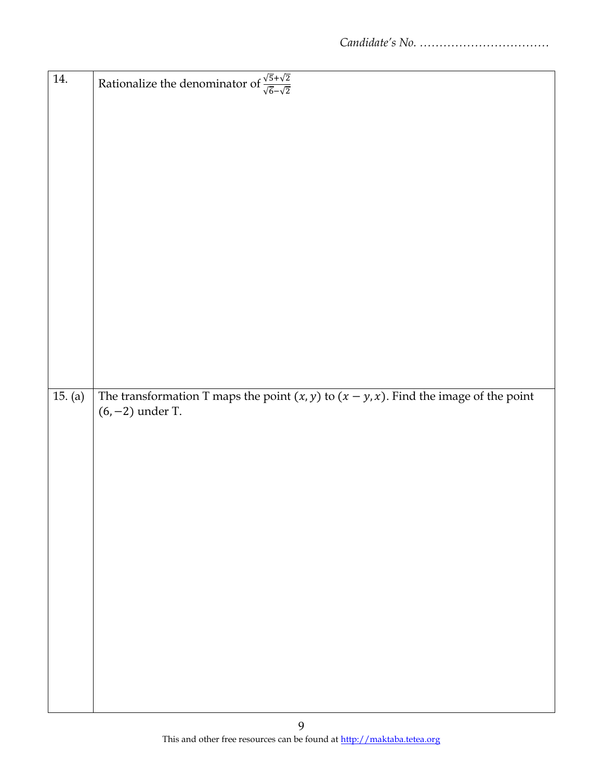| 14.     | Rationalize the denominator of $\frac{\sqrt{5} + \sqrt{2}}{\sqrt{6} - \sqrt{2}}$                                 |
|---------|------------------------------------------------------------------------------------------------------------------|
|         |                                                                                                                  |
|         |                                                                                                                  |
|         |                                                                                                                  |
|         |                                                                                                                  |
|         |                                                                                                                  |
|         |                                                                                                                  |
|         |                                                                                                                  |
|         |                                                                                                                  |
|         |                                                                                                                  |
|         |                                                                                                                  |
| 15. (a) | The transformation T maps the point $(x, y)$ to $(x - y, x)$ . Find the image of the point<br>$(6, -2)$ under T. |
|         |                                                                                                                  |
|         |                                                                                                                  |
|         |                                                                                                                  |
|         |                                                                                                                  |
|         |                                                                                                                  |
|         |                                                                                                                  |
|         |                                                                                                                  |
|         |                                                                                                                  |
|         |                                                                                                                  |
|         |                                                                                                                  |
|         |                                                                                                                  |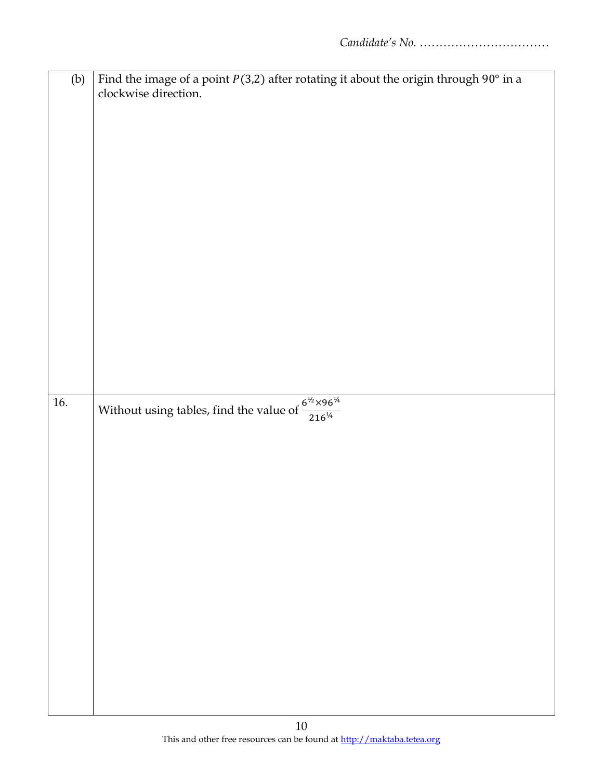| (b) | Find the image of a point $P(3,2)$ after rotating it about the origin through $90^{\circ}$ in a |
|-----|-------------------------------------------------------------------------------------------------|
|     | clockwise direction.                                                                            |
|     |                                                                                                 |
|     |                                                                                                 |
|     |                                                                                                 |
|     |                                                                                                 |
|     |                                                                                                 |
|     |                                                                                                 |
|     |                                                                                                 |
|     |                                                                                                 |
|     |                                                                                                 |
|     |                                                                                                 |
|     |                                                                                                 |
|     |                                                                                                 |
|     |                                                                                                 |
|     |                                                                                                 |
|     |                                                                                                 |
|     |                                                                                                 |
|     |                                                                                                 |
|     |                                                                                                 |
| 16. | Without using tables, find the value of $\frac{6^{1/2} \times 96^{1/4}}{216^{1/4}}$             |
|     |                                                                                                 |
|     |                                                                                                 |
|     |                                                                                                 |
|     |                                                                                                 |
|     |                                                                                                 |
|     |                                                                                                 |
|     |                                                                                                 |
|     |                                                                                                 |
|     |                                                                                                 |
|     |                                                                                                 |
|     |                                                                                                 |
|     |                                                                                                 |
|     |                                                                                                 |
|     |                                                                                                 |
|     |                                                                                                 |
|     |                                                                                                 |
|     |                                                                                                 |
|     |                                                                                                 |
|     |                                                                                                 |
|     | 1 <sub>0</sub>                                                                                  |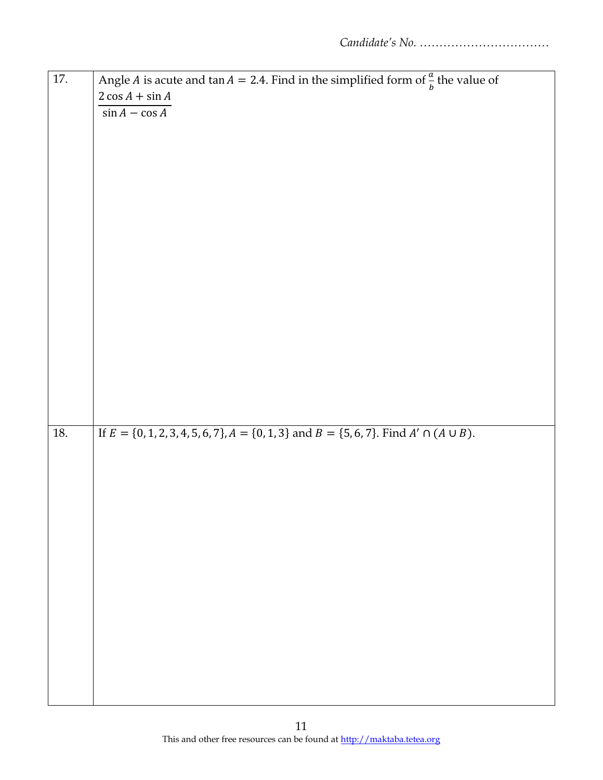| 17. |                                                                                                         |
|-----|---------------------------------------------------------------------------------------------------------|
|     | Angle <i>A</i> is acute and $\tan A = 2.4$ . Find in the simplified form of $\frac{a}{b}$ the value of  |
|     | $2 \cos A + \sin A$                                                                                     |
|     | $\sin A - \cos A$                                                                                       |
|     |                                                                                                         |
|     |                                                                                                         |
|     |                                                                                                         |
|     |                                                                                                         |
|     |                                                                                                         |
|     |                                                                                                         |
|     |                                                                                                         |
|     |                                                                                                         |
|     |                                                                                                         |
|     |                                                                                                         |
|     |                                                                                                         |
|     |                                                                                                         |
|     |                                                                                                         |
|     |                                                                                                         |
|     |                                                                                                         |
|     |                                                                                                         |
|     |                                                                                                         |
|     |                                                                                                         |
|     |                                                                                                         |
|     |                                                                                                         |
|     |                                                                                                         |
|     |                                                                                                         |
| 18. | If $E = \{0, 1, 2, 3, 4, 5, 6, 7\}, A = \{0, 1, 3\}$ and $B = \{5, 6, 7\}.$ Find $A' \cap (A \cup B)$ . |
|     |                                                                                                         |
|     |                                                                                                         |
|     |                                                                                                         |
|     |                                                                                                         |
|     |                                                                                                         |
|     |                                                                                                         |
|     |                                                                                                         |
|     |                                                                                                         |
|     |                                                                                                         |
|     |                                                                                                         |
|     |                                                                                                         |
|     |                                                                                                         |
|     |                                                                                                         |
|     |                                                                                                         |
|     |                                                                                                         |
|     |                                                                                                         |
|     |                                                                                                         |
|     |                                                                                                         |
|     |                                                                                                         |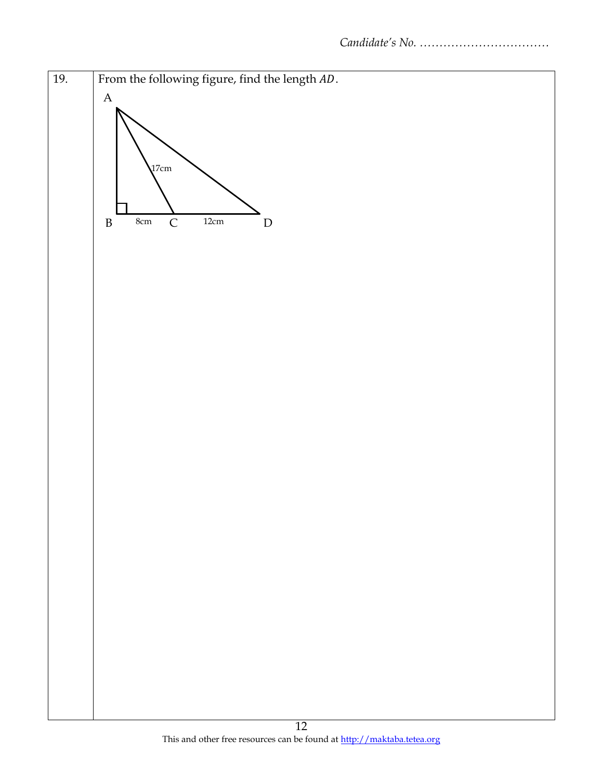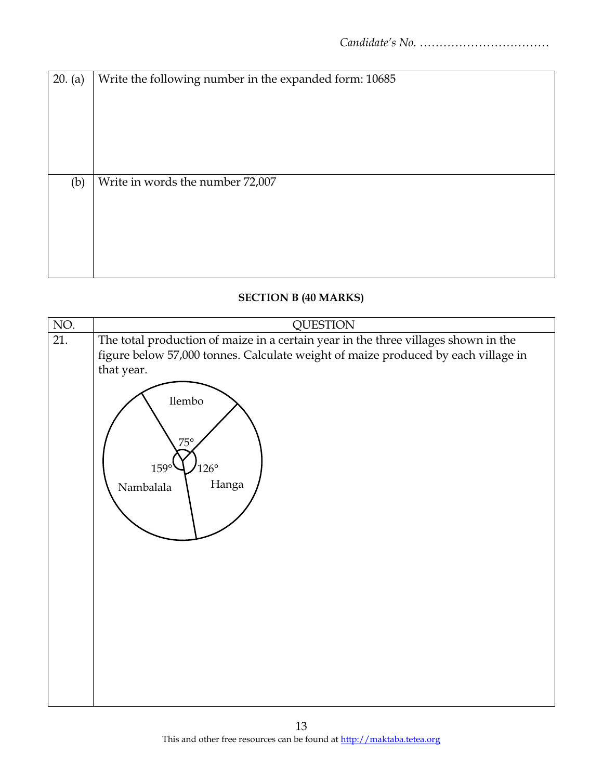| 20. (a) | Write the following number in the expanded form: 10685 |
|---------|--------------------------------------------------------|
|         |                                                        |
|         |                                                        |
|         |                                                        |
|         |                                                        |
|         |                                                        |
| (b)     | Write in words the number 72,007                       |
|         |                                                        |
|         |                                                        |
|         |                                                        |
|         |                                                        |
|         |                                                        |

# **SECTION B (40 MARKS)**

| NO. | <b>QUESTION</b>                                                                                                                                                                                                                                                   |
|-----|-------------------------------------------------------------------------------------------------------------------------------------------------------------------------------------------------------------------------------------------------------------------|
| 21. | The total production of maize in a certain year in the three villages shown in the<br>figure below 57,000 tonnes. Calculate weight of maize produced by each village in<br>that year.<br>Ilembo<br>$75^\circ$<br>$126^\circ$<br>$159^\circ$<br>Hanga<br>Nambalala |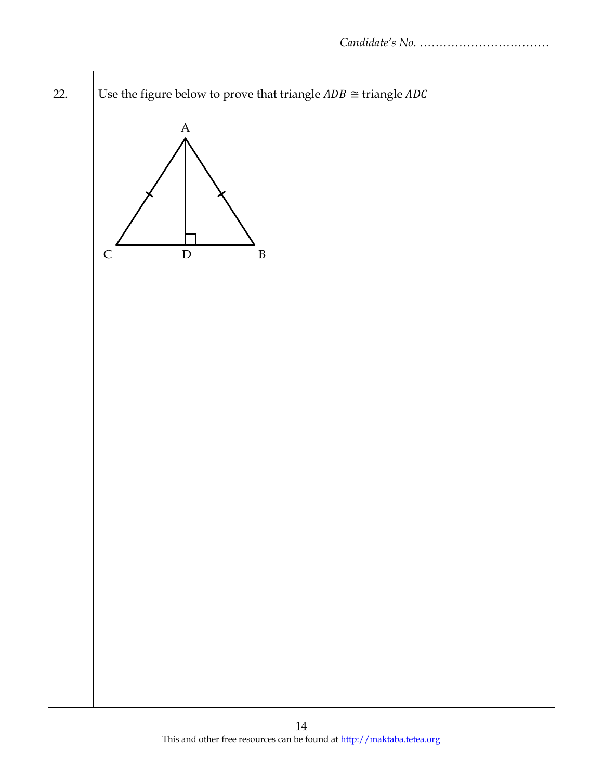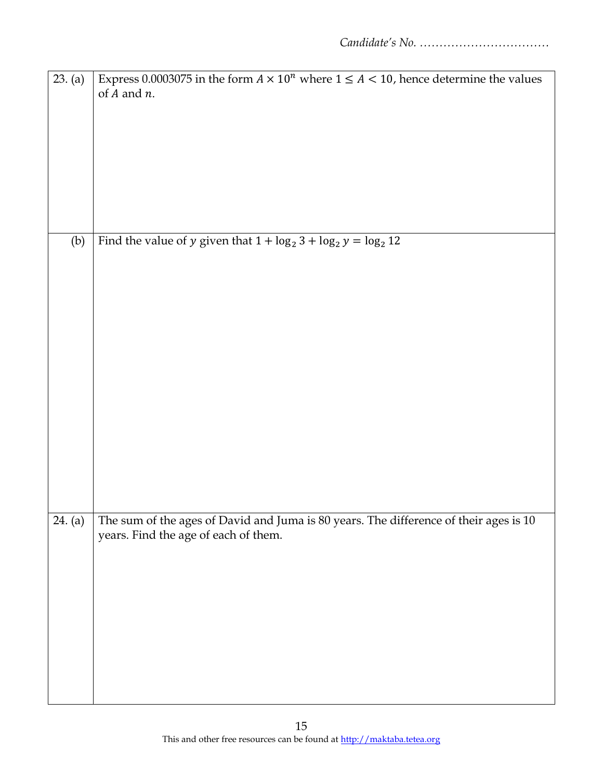| 23. (a) | Express 0.0003075 in the form $A \times 10^n$ where $1 \le A < 10$ , hence determine the values |
|---------|-------------------------------------------------------------------------------------------------|
|         | of $A$ and $n$ .                                                                                |
|         |                                                                                                 |
|         |                                                                                                 |
|         |                                                                                                 |
|         |                                                                                                 |
|         |                                                                                                 |
|         |                                                                                                 |
|         |                                                                                                 |
|         |                                                                                                 |
|         |                                                                                                 |
|         |                                                                                                 |
|         |                                                                                                 |
| (b)     | Find the value of y given that $1 + \log_2 3 + \log_2 y = \log_2 12$                            |
|         |                                                                                                 |
|         |                                                                                                 |
|         |                                                                                                 |
|         |                                                                                                 |
|         |                                                                                                 |
|         |                                                                                                 |
|         |                                                                                                 |
|         |                                                                                                 |
|         |                                                                                                 |
|         |                                                                                                 |
|         |                                                                                                 |
|         |                                                                                                 |
|         |                                                                                                 |
|         |                                                                                                 |
|         |                                                                                                 |
|         |                                                                                                 |
|         |                                                                                                 |
|         |                                                                                                 |
|         |                                                                                                 |
|         |                                                                                                 |
|         |                                                                                                 |
| 24. (a) | The sum of the ages of David and Juma is 80 years. The difference of their ages is 10           |
|         | years. Find the age of each of them.                                                            |
|         |                                                                                                 |
|         |                                                                                                 |
|         |                                                                                                 |
|         |                                                                                                 |
|         |                                                                                                 |
|         |                                                                                                 |
|         |                                                                                                 |
|         |                                                                                                 |
|         |                                                                                                 |
|         |                                                                                                 |
|         |                                                                                                 |
|         |                                                                                                 |
|         |                                                                                                 |